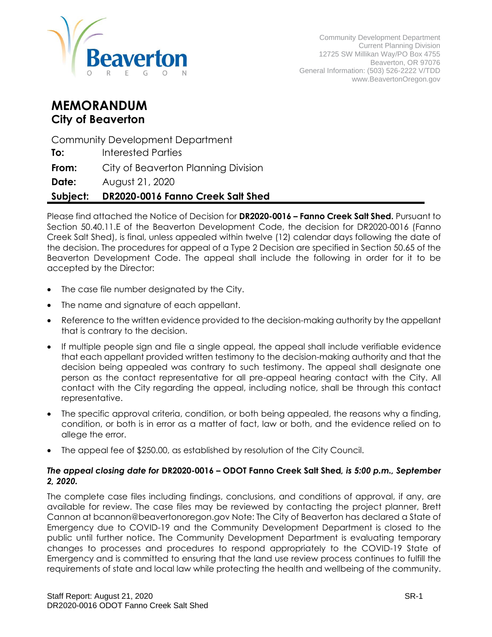

# **MEMORANDUM City of Beaverton**

Community Development Department

**To:** Interested Parties

**From:** City of Beaverton Planning Division

**Date:** August 21, 2020

# **Subject: DR2020-0016 Fanno Creek Salt Shed**

Please find attached the Notice of Decision for **DR2020-0016 – Fanno Creek Salt Shed.** Pursuant to Section 50.40.11.E of the Beaverton Development Code, the decision for DR2020-0016 (Fanno Creek Salt Shed), is final, unless appealed within twelve (12) calendar days following the date of the decision. The procedures for appeal of a Type 2 Decision are specified in Section 50.65 of the Beaverton Development Code. The appeal shall include the following in order for it to be accepted by the Director:

- The case file number designated by the City.
- The name and signature of each appellant.
- Reference to the written evidence provided to the decision-making authority by the appellant that is contrary to the decision.
- If multiple people sign and file a single appeal, the appeal shall include verifiable evidence that each appellant provided written testimony to the decision-making authority and that the decision being appealed was contrary to such testimony. The appeal shall designate one person as the contact representative for all pre-appeal hearing contact with the City. All contact with the City regarding the appeal, including notice, shall be through this contact representative.
- The specific approval criteria, condition, or both being appealed, the reasons why a finding, condition, or both is in error as a matter of fact, law or both, and the evidence relied on to allege the error.
- The appeal fee of \$250.00, as established by resolution of the City Council.

#### *The appeal closing date for* **DR2020-0016 – ODOT Fanno Creek Salt Shed***, is 5:00 p.m., September 2, 2020.*

The complete case files including findings, conclusions, and conditions of approval, if any, are available for review. The case files may be reviewed by contacting the project planner, Brett Cannon at bcannon@beavertonoregon.gov Note: The City of Beaverton has declared a State of Emergency due to COVID-19 and the Community Development Department is closed to the public until further notice. The Community Development Department is evaluating temporary changes to processes and procedures to respond appropriately to the COVID-19 State of Emergency and is committed to ensuring that the land use review process continues to fulfill the requirements of state and local law while protecting the health and wellbeing of the community.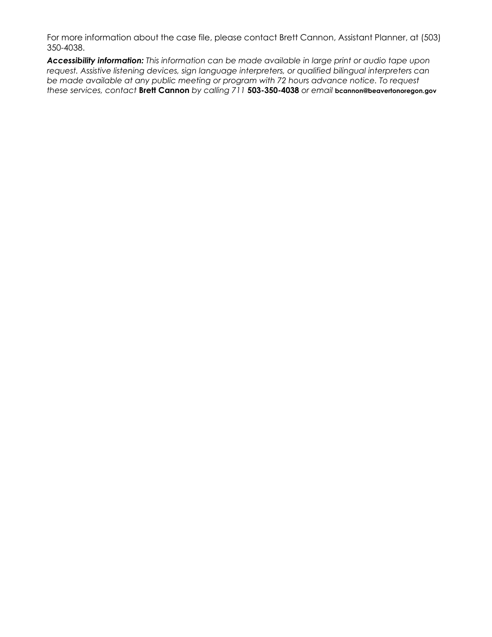For more information about the case file, please contact Brett Cannon, Assistant Planner, at (503) 350-4038.

*Accessibility information: This information can be made available in large print or audio tape upon request. Assistive listening devices, sign language interpreters, or qualified bilingual interpreters can be made available at any public meeting or program with 72 hours advance notice. To request these services, contact* **Brett Cannon** *by calling 711* **503-350-4038** *or email* **bcannon@beavertonoregon.gov**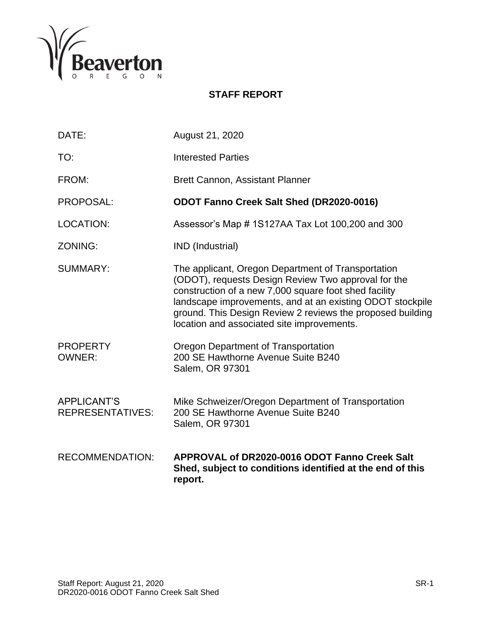

# **STAFF REPORT**

| DATE:                                         | August 21, 2020                                                                                                                                                                                                                                                                                                                             |
|-----------------------------------------------|---------------------------------------------------------------------------------------------------------------------------------------------------------------------------------------------------------------------------------------------------------------------------------------------------------------------------------------------|
| TO:                                           | <b>Interested Parties</b>                                                                                                                                                                                                                                                                                                                   |
| FROM:                                         | <b>Brett Cannon, Assistant Planner</b>                                                                                                                                                                                                                                                                                                      |
| PROPOSAL:                                     | ODOT Fanno Creek Salt Shed (DR2020-0016)                                                                                                                                                                                                                                                                                                    |
| <b>LOCATION:</b>                              | Assessor's Map #1S127AA Tax Lot 100,200 and 300                                                                                                                                                                                                                                                                                             |
| ZONING:                                       | IND (Industrial)                                                                                                                                                                                                                                                                                                                            |
| <b>SUMMARY:</b>                               | The applicant, Oregon Department of Transportation<br>(ODOT), requests Design Review Two approval for the<br>construction of a new 7,000 square foot shed facility<br>landscape improvements, and at an existing ODOT stockpile<br>ground. This Design Review 2 reviews the proposed building<br>location and associated site improvements. |
| <b>PROPERTY</b><br><b>OWNER:</b>              | Oregon Department of Transportation<br>200 SE Hawthorne Avenue Suite B240<br>Salem, OR 97301                                                                                                                                                                                                                                                |
| <b>APPLICANT'S</b><br><b>REPRESENTATIVES:</b> | Mike Schweizer/Oregon Department of Transportation<br>200 SE Hawthorne Avenue Suite B240<br>Salem, OR 97301                                                                                                                                                                                                                                 |
| <b>RECOMMENDATION:</b>                        | APPROVAL of DR2020-0016 ODOT Fanno Creek Salt<br>Shed, subject to conditions identified at the end of this<br>report.                                                                                                                                                                                                                       |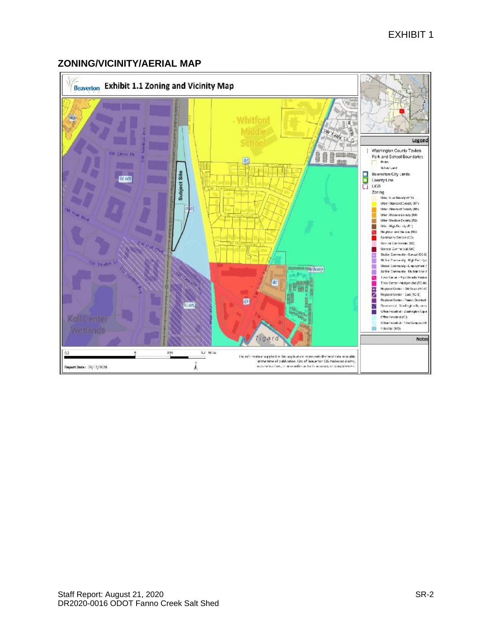# **ZONING/VICINITY/AERIAL MAP**

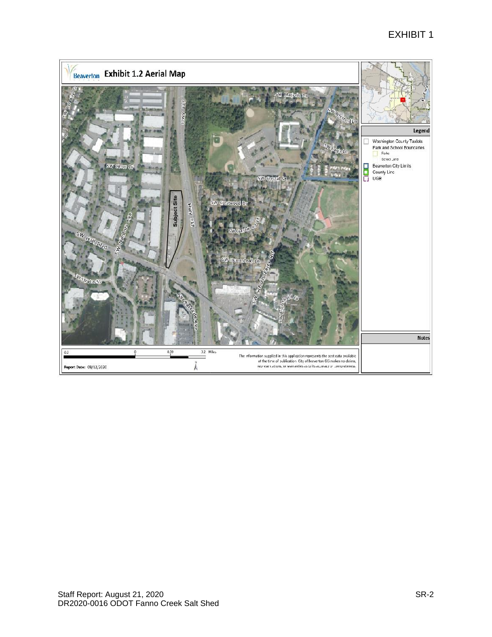# EXHIBIT 1

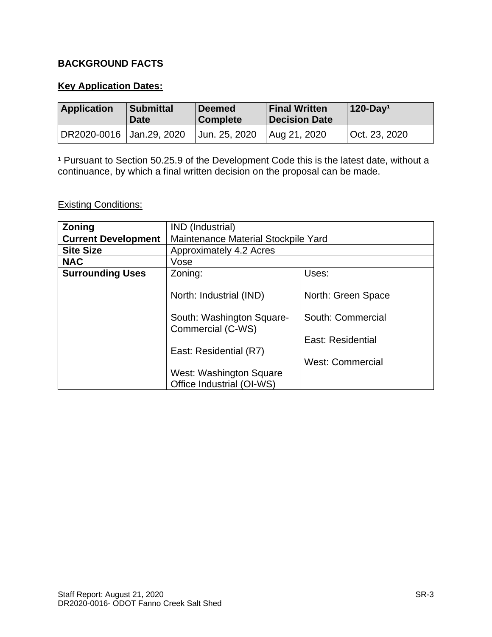# **BACKGROUND FACTS**

### **Key Application Dates:**

| <b>Application</b>         | <b>Submittal</b><br><b>Date</b> | <b>Deemed</b><br><b>Complete</b> | <b>Final Written</b><br><b>Decision Date</b> | $120$ -Day <sup>1</sup> |
|----------------------------|---------------------------------|----------------------------------|----------------------------------------------|-------------------------|
| DR2020-0016   Jan.29, 2020 |                                 | Jun. 25, 2020                    | Aug 21, 2020                                 | Oct. 23, 2020           |

<sup>1</sup> Pursuant to Section 50.25.9 of the Development Code this is the latest date, without a continuance, by which a final written decision on the proposal can be made.

# **Existing Conditions:**

| <b>Zoning</b>              | IND (Industrial)                                                    |                    |  |
|----------------------------|---------------------------------------------------------------------|--------------------|--|
| <b>Current Development</b> | Maintenance Material Stockpile Yard                                 |                    |  |
| <b>Site Size</b>           | Approximately 4.2 Acres                                             |                    |  |
| <b>NAC</b>                 | Vose                                                                |                    |  |
| <b>Surrounding Uses</b>    | Zoning:                                                             | Uses:              |  |
|                            | North: Industrial (IND)                                             | North: Green Space |  |
|                            | South: Commercial<br>South: Washington Square-<br>Commercial (C-WS) |                    |  |
|                            | East: Residential                                                   |                    |  |
|                            | East: Residential (R7)                                              |                    |  |
|                            | <b>West: Commercial</b>                                             |                    |  |
|                            | West: Washington Square                                             |                    |  |
|                            | Office Industrial (OI-WS)                                           |                    |  |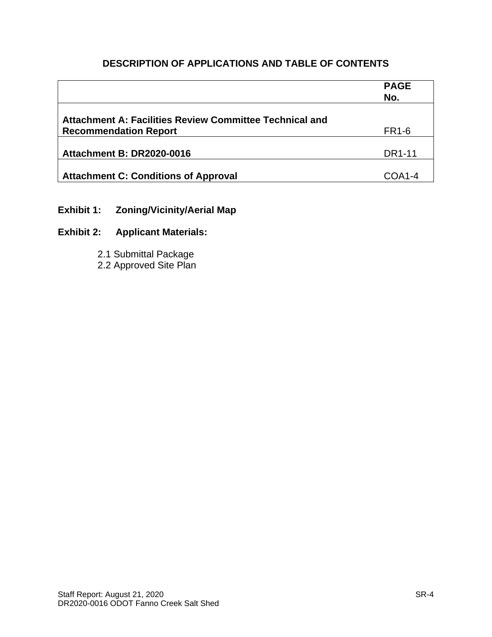# **DESCRIPTION OF APPLICATIONS AND TABLE OF CONTENTS**

|                                                                                                | <b>PAGE</b><br>No. |
|------------------------------------------------------------------------------------------------|--------------------|
| <b>Attachment A: Facilities Review Committee Technical and</b><br><b>Recommendation Report</b> | <b>FR1-6</b>       |
| <b>Attachment B: DR2020-0016</b>                                                               | DR1-11             |
| <b>Attachment C: Conditions of Approval</b>                                                    | COA1-4             |

# **Exhibit 1: Zoning/Vicinity/Aerial Map**

# **Exhibit 2: Applicant Materials:**

2.1 Submittal Package

2.2 Approved Site Plan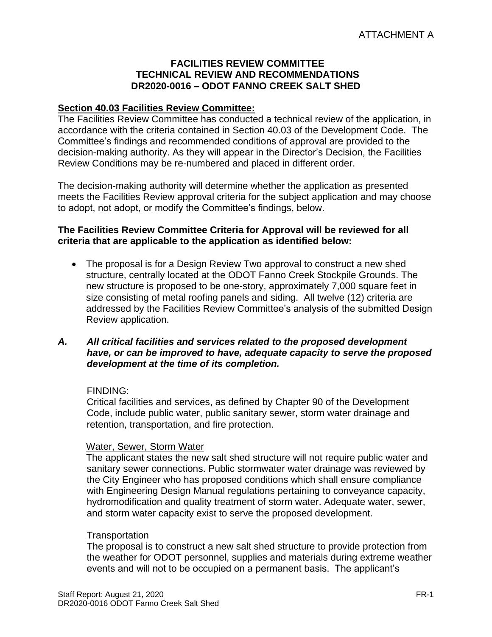### **FACILITIES REVIEW COMMITTEE TECHNICAL REVIEW AND RECOMMENDATIONS DR2020-0016 – ODOT FANNO CREEK SALT SHED**

### **Section 40.03 Facilities Review Committee:**

The Facilities Review Committee has conducted a technical review of the application, in accordance with the criteria contained in Section 40.03 of the Development Code. The Committee's findings and recommended conditions of approval are provided to the decision-making authority. As they will appear in the Director's Decision, the Facilities Review Conditions may be re-numbered and placed in different order.

The decision-making authority will determine whether the application as presented meets the Facilities Review approval criteria for the subject application and may choose to adopt, not adopt, or modify the Committee's findings, below.

### **The Facilities Review Committee Criteria for Approval will be reviewed for all criteria that are applicable to the application as identified below:**

• The proposal is for a Design Review Two approval to construct a new shed structure, centrally located at the ODOT Fanno Creek Stockpile Grounds. The new structure is proposed to be one-story, approximately 7,000 square feet in size consisting of metal roofing panels and siding. All twelve (12) criteria are addressed by the Facilities Review Committee's analysis of the submitted Design Review application.

### *A. All critical facilities and services related to the proposed development have, or can be improved to have, adequate capacity to serve the proposed development at the time of its completion.*

### FINDING:

Critical facilities and services, as defined by Chapter 90 of the Development Code, include public water, public sanitary sewer, storm water drainage and retention, transportation, and fire protection.

### Water, Sewer, Storm Water

The applicant states the new salt shed structure will not require public water and sanitary sewer connections. Public stormwater water drainage was reviewed by the City Engineer who has proposed conditions which shall ensure compliance with Engineering Design Manual regulations pertaining to conveyance capacity, hydromodification and quality treatment of storm water. Adequate water, sewer, and storm water capacity exist to serve the proposed development.

### **Transportation**

The proposal is to construct a new salt shed structure to provide protection from the weather for ODOT personnel, supplies and materials during extreme weather events and will not to be occupied on a permanent basis. The applicant's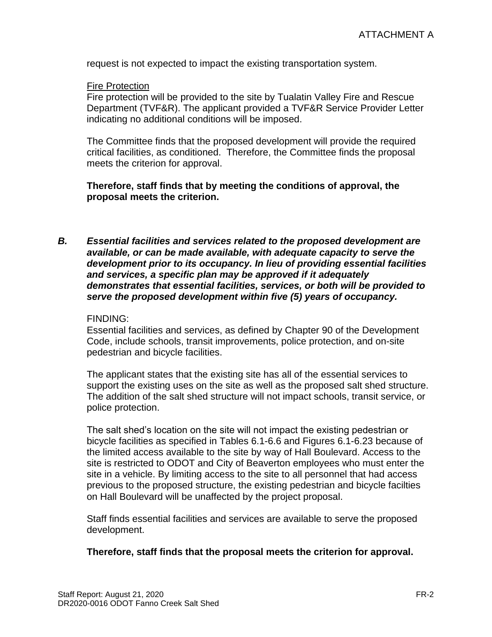request is not expected to impact the existing transportation system.

#### Fire Protection

Fire protection will be provided to the site by Tualatin Valley Fire and Rescue Department (TVF&R). The applicant provided a TVF&R Service Provider Letter indicating no additional conditions will be imposed.

The Committee finds that the proposed development will provide the required critical facilities, as conditioned. Therefore, the Committee finds the proposal meets the criterion for approval.

### **Therefore, staff finds that by meeting the conditions of approval, the proposal meets the criterion.**

*B. Essential facilities and services related to the proposed development are available, or can be made available, with adequate capacity to serve the development prior to its occupancy. In lieu of providing essential facilities and services, a specific plan may be approved if it adequately demonstrates that essential facilities, services, or both will be provided to serve the proposed development within five (5) years of occupancy.*

#### FINDING:

Essential facilities and services, as defined by Chapter 90 of the Development Code, include schools, transit improvements, police protection, and on-site pedestrian and bicycle facilities.

The applicant states that the existing site has all of the essential services to support the existing uses on the site as well as the proposed salt shed structure. The addition of the salt shed structure will not impact schools, transit service, or police protection.

The salt shed's location on the site will not impact the existing pedestrian or bicycle facilities as specified in Tables 6.1-6.6 and Figures 6.1-6.23 because of the limited access available to the site by way of Hall Boulevard. Access to the site is restricted to ODOT and City of Beaverton employees who must enter the site in a vehicle. By limiting access to the site to all personnel that had access previous to the proposed structure, the existing pedestrian and bicycle facilties on Hall Boulevard will be unaffected by the project proposal.

Staff finds essential facilities and services are available to serve the proposed development.

#### **Therefore, staff finds that the proposal meets the criterion for approval.**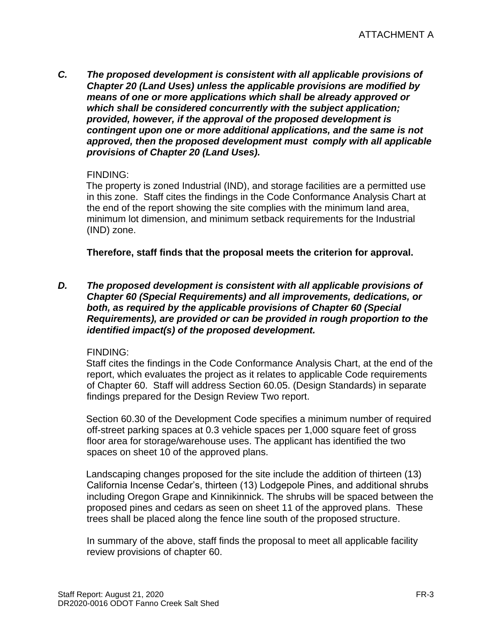*C. The proposed development is consistent with all applicable provisions of Chapter 20 (Land Uses) unless the applicable provisions are modified by means of one or more applications which shall be already approved or which shall be considered concurrently with the subject application; provided, however, if the approval of the proposed development is contingent upon one or more additional applications, and the same is not approved, then the proposed development must comply with all applicable provisions of Chapter 20 (Land Uses).*

### FINDING:

The property is zoned Industrial (IND), and storage facilities are a permitted use in this zone. Staff cites the findings in the Code Conformance Analysis Chart at the end of the report showing the site complies with the minimum land area, minimum lot dimension, and minimum setback requirements for the Industrial (IND) zone.

**Therefore, staff finds that the proposal meets the criterion for approval.**

*D. The proposed development is consistent with all applicable provisions of Chapter 60 (Special Requirements) and all improvements, dedications, or both, as required by the applicable provisions of Chapter 60 (Special Requirements), are provided or can be provided in rough proportion to the identified impact(s) of the proposed development.*

# FINDING:

Staff cites the findings in the Code Conformance Analysis Chart, at the end of the report, which evaluates the project as it relates to applicable Code requirements of Chapter 60. Staff will address Section 60.05. (Design Standards) in separate findings prepared for the Design Review Two report.

Section 60.30 of the Development Code specifies a minimum number of required off-street parking spaces at 0.3 vehicle spaces per 1,000 square feet of gross floor area for storage/warehouse uses. The applicant has identified the two spaces on sheet 10 of the approved plans.

Landscaping changes proposed for the site include the addition of thirteen (13) California Incense Cedar's, thirteen (13) Lodgepole Pines, and additional shrubs including Oregon Grape and Kinnikinnick. The shrubs will be spaced between the proposed pines and cedars as seen on sheet 11 of the approved plans. These trees shall be placed along the fence line south of the proposed structure.

In summary of the above, staff finds the proposal to meet all applicable facility review provisions of chapter 60.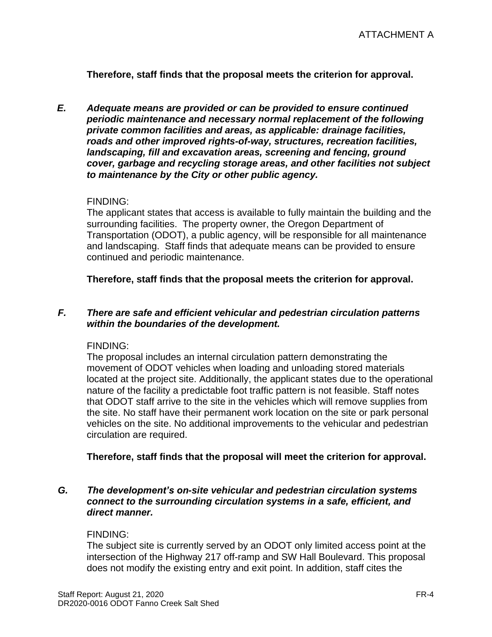**Therefore, staff finds that the proposal meets the criterion for approval.**

*E. Adequate means are provided or can be provided to ensure continued periodic maintenance and necessary normal replacement of the following private common facilities and areas, as applicable: drainage facilities, roads and other improved rights-of-way, structures, recreation facilities, landscaping, fill and excavation areas, screening and fencing, ground cover, garbage and recycling storage areas, and other facilities not subject to maintenance by the City or other public agency.*

### FINDING:

The applicant states that access is available to fully maintain the building and the surrounding facilities. The property owner, the Oregon Department of Transportation (ODOT), a public agency, will be responsible for all maintenance and landscaping. Staff finds that adequate means can be provided to ensure continued and periodic maintenance.

**Therefore, staff finds that the proposal meets the criterion for approval.**

### *F. There are safe and efficient vehicular and pedestrian circulation patterns within the boundaries of the development.*

#### FINDING:

The proposal includes an internal circulation pattern demonstrating the movement of ODOT vehicles when loading and unloading stored materials located at the project site. Additionally, the applicant states due to the operational nature of the facility a predictable foot traffic pattern is not feasible. Staff notes that ODOT staff arrive to the site in the vehicles which will remove supplies from the site. No staff have their permanent work location on the site or park personal vehicles on the site. No additional improvements to the vehicular and pedestrian circulation are required.

#### **Therefore, staff finds that the proposal will meet the criterion for approval.**

### *G. The development's on-site vehicular and pedestrian circulation systems connect to the surrounding circulation systems in a safe, efficient, and direct manner.*

#### FINDING:

The subject site is currently served by an ODOT only limited access point at the intersection of the Highway 217 off-ramp and SW Hall Boulevard. This proposal does not modify the existing entry and exit point. In addition, staff cites the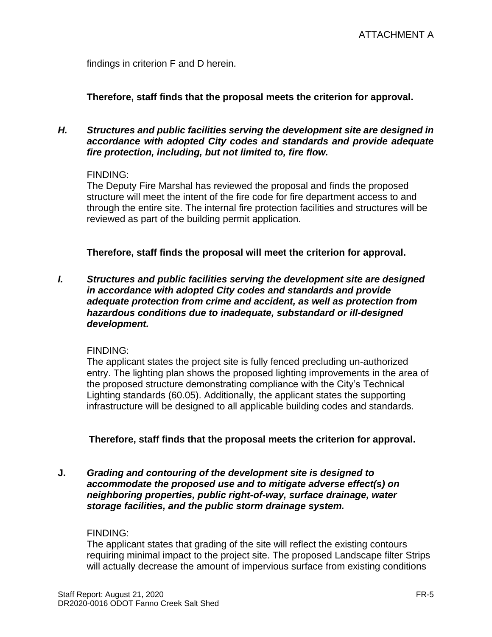findings in criterion F and D herein.

**Therefore, staff finds that the proposal meets the criterion for approval.**

### *H. Structures and public facilities serving the development site are designed in accordance with adopted City codes and standards and provide adequate fire protection, including, but not limited to, fire flow.*

### FINDING:

The Deputy Fire Marshal has reviewed the proposal and finds the proposed structure will meet the intent of the fire code for fire department access to and through the entire site. The internal fire protection facilities and structures will be reviewed as part of the building permit application.

**Therefore, staff finds the proposal will meet the criterion for approval.**

*I. Structures and public facilities serving the development site are designed in accordance with adopted City codes and standards and provide adequate protection from crime and accident, as well as protection from hazardous conditions due to inadequate, substandard or ill-designed development.*

# FINDING:

The applicant states the project site is fully fenced precluding un-authorized entry. The lighting plan shows the proposed lighting improvements in the area of the proposed structure demonstrating compliance with the City's Technical Lighting standards (60.05). Additionally, the applicant states the supporting infrastructure will be designed to all applicable building codes and standards.

**Therefore, staff finds that the proposal meets the criterion for approval.**

**J.** *Grading and contouring of the development site is designed to accommodate the proposed use and to mitigate adverse effect(s) on neighboring properties, public right-of-way, surface drainage, water storage facilities, and the public storm drainage system.*

### FINDING:

The applicant states that grading of the site will reflect the existing contours requiring minimal impact to the project site. The proposed Landscape filter Strips will actually decrease the amount of impervious surface from existing conditions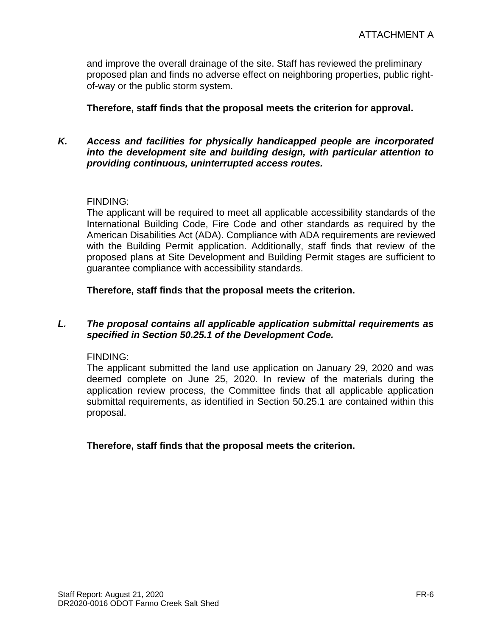and improve the overall drainage of the site. Staff has reviewed the preliminary proposed plan and finds no adverse effect on neighboring properties, public rightof-way or the public storm system.

**Therefore, staff finds that the proposal meets the criterion for approval.**

### *K. Access and facilities for physically handicapped people are incorporated into the development site and building design, with particular attention to providing continuous, uninterrupted access routes.*

### FINDING:

The applicant will be required to meet all applicable accessibility standards of the International Building Code, Fire Code and other standards as required by the American Disabilities Act (ADA). Compliance with ADA requirements are reviewed with the Building Permit application. Additionally, staff finds that review of the proposed plans at Site Development and Building Permit stages are sufficient to guarantee compliance with accessibility standards.

**Therefore, staff finds that the proposal meets the criterion.** 

### *L. The proposal contains all applicable application submittal requirements as specified in Section 50.25.1 of the Development Code.*

FINDING:

The applicant submitted the land use application on January 29, 2020 and was deemed complete on June 25, 2020. In review of the materials during the application review process, the Committee finds that all applicable application submittal requirements, as identified in Section 50.25.1 are contained within this proposal.

**Therefore, staff finds that the proposal meets the criterion.**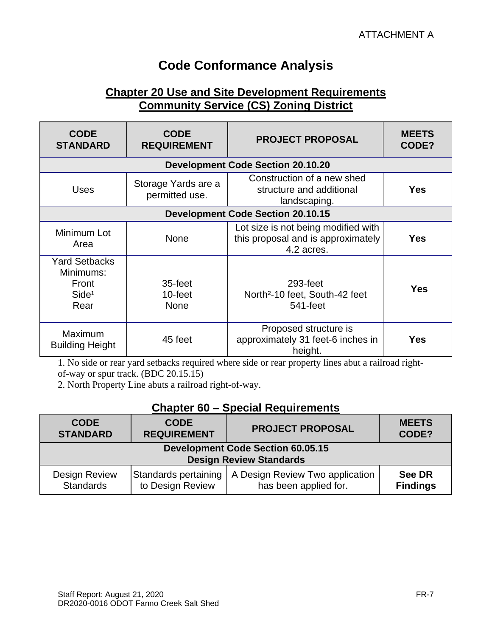# **Code Conformance Analysis**

# **Chapter 20 Use and Site Development Requirements Community Service (CS) Zoning District**

| <b>CODE</b><br><b>STANDARD</b>                                          | <b>CODE</b><br><b>REQUIREMENT</b>     | <b>PROJECT PROPOSAL</b>                                                                 | <b>MEETS</b><br>CODE? |
|-------------------------------------------------------------------------|---------------------------------------|-----------------------------------------------------------------------------------------|-----------------------|
|                                                                         |                                       | <b>Development Code Section 20.10.20</b>                                                |                       |
| <b>Uses</b>                                                             | Storage Yards are a<br>permitted use. | Construction of a new shed<br>structure and additional<br>landscaping.                  | <b>Yes</b>            |
|                                                                         |                                       | <b>Development Code Section 20.10.15</b>                                                |                       |
| Minimum Lot<br>Area                                                     | <b>None</b>                           | Lot size is not being modified with<br>this proposal and is approximately<br>4.2 acres. | <b>Yes</b>            |
| <b>Yard Setbacks</b><br>Minimums:<br>Front<br>Side <sup>1</sup><br>Rear | 35-feet<br>10-feet<br><b>None</b>     | 293-feet<br>North <sup>2</sup> -10 feet, South-42 feet<br>541-feet                      | <b>Yes</b>            |
| Maximum<br><b>Building Height</b>                                       | 45 feet                               | Proposed structure is<br>approximately 31 feet-6 inches in<br>height.                   | <b>Yes</b>            |

1. No side or rear yard setbacks required where side or rear property lines abut a railroad rightof-way or spur track. (BDC 20.15.15)

2. North Property Line abuts a railroad right-of-way.

# **Chapter 60 – Special Requirements**

| <b>CODE</b>                                                                | <b>CODE</b>          | <b>PROJECT PROPOSAL</b>         | <b>MEETS</b>    |
|----------------------------------------------------------------------------|----------------------|---------------------------------|-----------------|
| <b>STANDARD</b>                                                            | <b>REQUIREMENT</b>   |                                 | CODE?           |
| <b>Development Code Section 60.05.15</b><br><b>Design Review Standards</b> |                      |                                 |                 |
| <b>Design Review</b>                                                       | Standards pertaining | A Design Review Two application | <b>See DR</b>   |
| <b>Standards</b>                                                           | to Design Review     | has been applied for.           | <b>Findings</b> |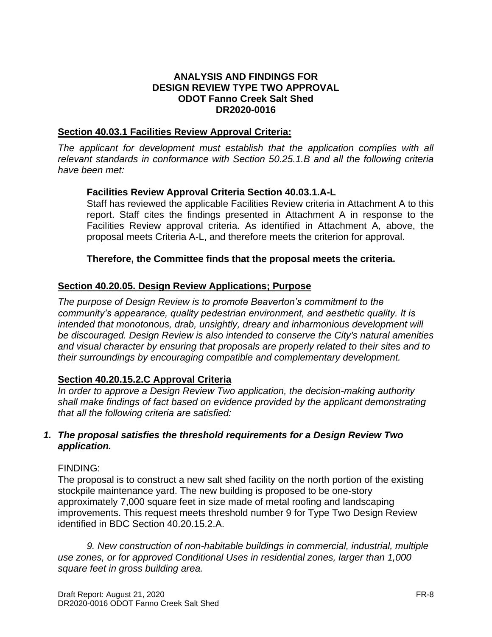### **ANALYSIS AND FINDINGS FOR DESIGN REVIEW TYPE TWO APPROVAL ODOT Fanno Creek Salt Shed DR2020-0016**

### **Section 40.03.1 Facilities Review Approval Criteria:**

*The applicant for development must establish that the application complies with all relevant standards in conformance with Section 50.25.1.B and all the following criteria have been met:* 

### **Facilities Review Approval Criteria Section 40.03.1.A-L**

Staff has reviewed the applicable Facilities Review criteria in Attachment A to this report. Staff cites the findings presented in Attachment A in response to the Facilities Review approval criteria. As identified in Attachment A, above, the proposal meets Criteria A-L, and therefore meets the criterion for approval.

### **Therefore, the Committee finds that the proposal meets the criteria.**

### **Section 40.20.05. Design Review Applications; Purpose**

*The purpose of Design Review is to promote Beaverton's commitment to the community's appearance, quality pedestrian environment, and aesthetic quality. It is intended that monotonous, drab, unsightly, dreary and inharmonious development will be discouraged. Design Review is also intended to conserve the City's natural amenities and visual character by ensuring that proposals are properly related to their sites and to their surroundings by encouraging compatible and complementary development.*

### **Section 40.20.15.2.C Approval Criteria**

*In order to approve a Design Review Two application, the decision-making authority shall make findings of fact based on evidence provided by the applicant demonstrating that all the following criteria are satisfied:*

### *1. The proposal satisfies the threshold requirements for a Design Review Two application.*

#### FINDING:

The proposal is to construct a new salt shed facility on the north portion of the existing stockpile maintenance yard. The new building is proposed to be one-story approximately 7,000 square feet in size made of metal roofing and landscaping improvements. This request meets threshold number 9 for Type Two Design Review identified in BDC Section 40.20.15.2.A.

*9. New construction of non-habitable buildings in commercial, industrial, multiple use zones, or for approved Conditional Uses in residential zones, larger than 1,000 square feet in gross building area.*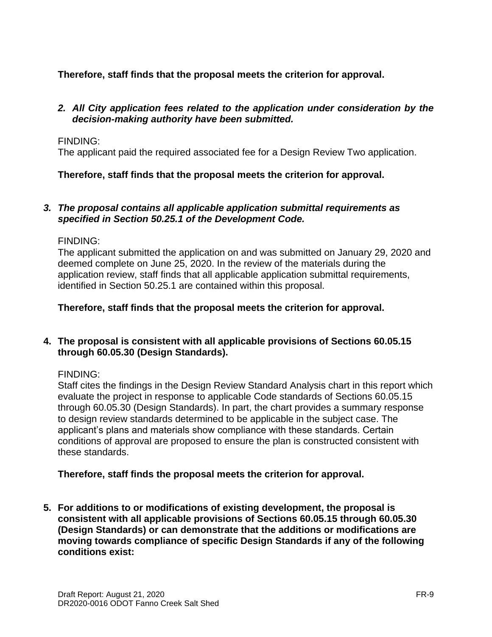**Therefore, staff finds that the proposal meets the criterion for approval.**

### *2. All City application fees related to the application under consideration by the decision-making authority have been submitted.*

# FINDING:

The applicant paid the required associated fee for a Design Review Two application.

# **Therefore, staff finds that the proposal meets the criterion for approval.**

### *3. The proposal contains all applicable application submittal requirements as specified in Section 50.25.1 of the Development Code.*

### FINDING:

The applicant submitted the application on and was submitted on January 29, 2020 and deemed complete on June 25, 2020. In the review of the materials during the application review, staff finds that all applicable application submittal requirements, identified in Section 50.25.1 are contained within this proposal.

### **Therefore, staff finds that the proposal meets the criterion for approval.**

### **4. The proposal is consistent with all applicable provisions of Sections 60.05.15 through 60.05.30 (Design Standards).**

# FINDING:

Staff cites the findings in the Design Review Standard Analysis chart in this report which evaluate the project in response to applicable Code standards of Sections 60.05.15 through 60.05.30 (Design Standards). In part, the chart provides a summary response to design review standards determined to be applicable in the subject case. The applicant's plans and materials show compliance with these standards. Certain conditions of approval are proposed to ensure the plan is constructed consistent with these standards.

# **Therefore, staff finds the proposal meets the criterion for approval.**

**5. For additions to or modifications of existing development, the proposal is consistent with all applicable provisions of Sections 60.05.15 through 60.05.30 (Design Standards) or can demonstrate that the additions or modifications are moving towards compliance of specific Design Standards if any of the following conditions exist:**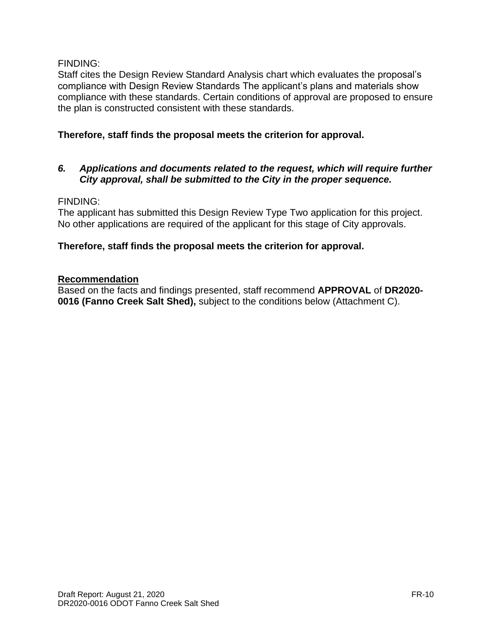### FINDING:

Staff cites the Design Review Standard Analysis chart which evaluates the proposal's compliance with Design Review Standards The applicant's plans and materials show compliance with these standards. Certain conditions of approval are proposed to ensure the plan is constructed consistent with these standards.

# **Therefore, staff finds the proposal meets the criterion for approval.**

### *6. Applications and documents related to the request, which will require further City approval, shall be submitted to the City in the proper sequence.*

### FINDING:

The applicant has submitted this Design Review Type Two application for this project. No other applications are required of the applicant for this stage of City approvals.

### **Therefore, staff finds the proposal meets the criterion for approval.**

### **Recommendation**

Based on the facts and findings presented, staff recommend **APPROVAL** of **DR2020- 0016 (Fanno Creek Salt Shed),** subject to the conditions below (Attachment C).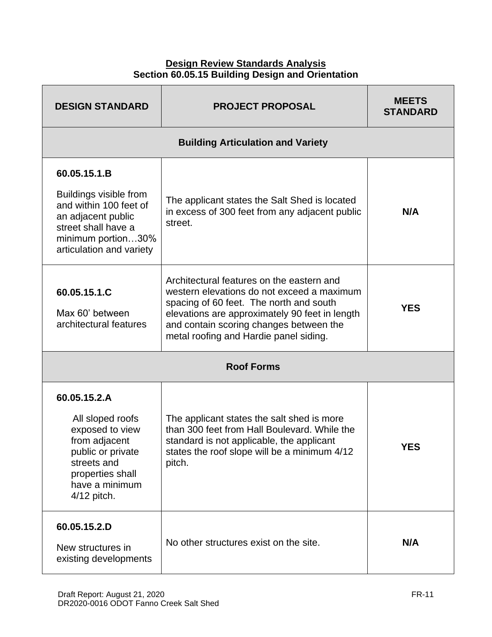### **Design Review Standards Analysis Section 60.05.15 Building Design and Orientation**

| <b>DESIGN STANDARD</b>                                                                                                                                          | <b>PROJECT PROPOSAL</b>                                                                                                                                                                                                                                                   | <b>MEETS</b><br><b>STANDARD</b> |  |  |
|-----------------------------------------------------------------------------------------------------------------------------------------------------------------|---------------------------------------------------------------------------------------------------------------------------------------------------------------------------------------------------------------------------------------------------------------------------|---------------------------------|--|--|
|                                                                                                                                                                 | <b>Building Articulation and Variety</b>                                                                                                                                                                                                                                  |                                 |  |  |
| 60.05.15.1.B<br>Buildings visible from<br>and within 100 feet of<br>an adjacent public<br>street shall have a<br>minimum portion30%<br>articulation and variety | The applicant states the Salt Shed is located<br>in excess of 300 feet from any adjacent public<br>street.                                                                                                                                                                | N/A                             |  |  |
| 60.05.15.1.C<br>Max 60' between<br>architectural features                                                                                                       | Architectural features on the eastern and<br>western elevations do not exceed a maximum<br>spacing of 60 feet. The north and south<br>elevations are approximately 90 feet in length<br>and contain scoring changes between the<br>metal roofing and Hardie panel siding. | <b>YES</b>                      |  |  |
| <b>Roof Forms</b>                                                                                                                                               |                                                                                                                                                                                                                                                                           |                                 |  |  |
| 60.05.15.2.A<br>All sloped roofs<br>exposed to view<br>from adjacent<br>public or private<br>streets and<br>properties shall<br>have a minimum<br>4/12 pitch.   | The applicant states the salt shed is more<br>than 300 feet from Hall Boulevard. While the<br>standard is not applicable, the applicant<br>states the roof slope will be a minimum 4/12<br>pitch.                                                                         | <b>YES</b>                      |  |  |
| 60.05.15.2.D<br>New structures in<br>existing developments                                                                                                      | No other structures exist on the site.                                                                                                                                                                                                                                    | N/A                             |  |  |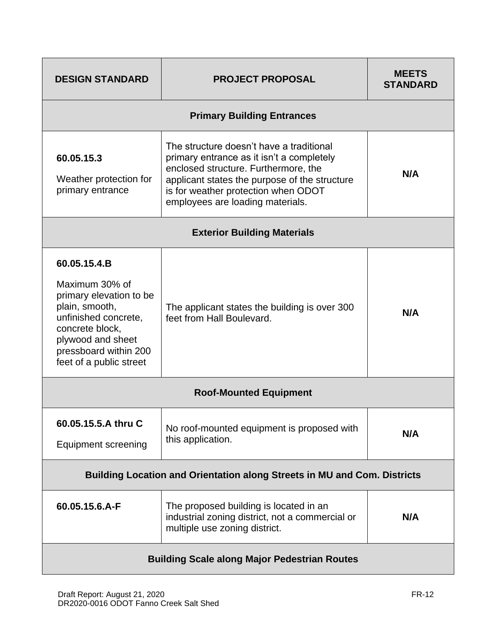| <b>DESIGN STANDARD</b>                                                                                                                                                                          | <b>PROJECT PROPOSAL</b>                                                                                                                                                                                                                                   | <b>MFFTS</b><br><b>STANDARD</b> |  |
|-------------------------------------------------------------------------------------------------------------------------------------------------------------------------------------------------|-----------------------------------------------------------------------------------------------------------------------------------------------------------------------------------------------------------------------------------------------------------|---------------------------------|--|
|                                                                                                                                                                                                 | <b>Primary Building Entrances</b>                                                                                                                                                                                                                         |                                 |  |
| 60.05.15.3<br>Weather protection for<br>primary entrance                                                                                                                                        | The structure doesn't have a traditional<br>primary entrance as it isn't a completely<br>enclosed structure. Furthermore, the<br>applicant states the purpose of the structure<br>is for weather protection when ODOT<br>employees are loading materials. | N/A                             |  |
|                                                                                                                                                                                                 | <b>Exterior Building Materials</b>                                                                                                                                                                                                                        |                                 |  |
| 60.05.15.4.B<br>Maximum 30% of<br>primary elevation to be<br>plain, smooth,<br>unfinished concrete,<br>concrete block,<br>plywood and sheet<br>pressboard within 200<br>feet of a public street | The applicant states the building is over 300<br>feet from Hall Boulevard.                                                                                                                                                                                | N/A                             |  |
| <b>Roof-Mounted Equipment</b>                                                                                                                                                                   |                                                                                                                                                                                                                                                           |                                 |  |
| 60.05.15.5.A thru C<br><b>Equipment screening</b>                                                                                                                                               | No roof-mounted equipment is proposed with<br>this application.                                                                                                                                                                                           | N/A                             |  |
| <b>Building Location and Orientation along Streets in MU and Com. Districts</b>                                                                                                                 |                                                                                                                                                                                                                                                           |                                 |  |
| 60.05.15.6.A-F                                                                                                                                                                                  | The proposed building is located in an<br>industrial zoning district, not a commercial or<br>multiple use zoning district.                                                                                                                                | N/A                             |  |
| <b>Building Scale along Major Pedestrian Routes</b>                                                                                                                                             |                                                                                                                                                                                                                                                           |                                 |  |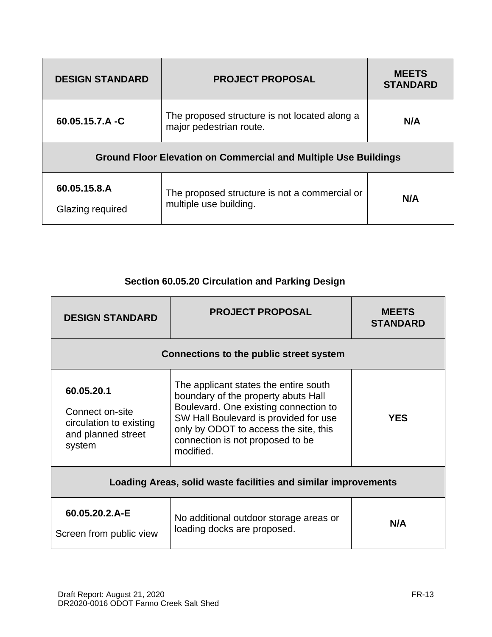| <b>DESIGN STANDARD</b>                                                 | <b>PROJECT PROPOSAL</b>                                                  | <b>MEETS</b><br><b>STANDARD</b> |  |
|------------------------------------------------------------------------|--------------------------------------------------------------------------|---------------------------------|--|
| 60.05.15.7.A -C                                                        | The proposed structure is not located along a<br>major pedestrian route. | N/A                             |  |
| <b>Ground Floor Elevation on Commercial and Multiple Use Buildings</b> |                                                                          |                                 |  |
| 60.05.15.8.A<br>Glazing required                                       | The proposed structure is not a commercial or<br>multiple use building.  | N/A                             |  |

# **Section 60.05.20 Circulation and Parking Design**

| <b>DESIGN STANDARD</b>                                                                   | <b>PROJECT PROPOSAL</b>                                                                                                                                                                                                                                  | <b>MEETS</b><br><b>STANDARD</b> |  |
|------------------------------------------------------------------------------------------|----------------------------------------------------------------------------------------------------------------------------------------------------------------------------------------------------------------------------------------------------------|---------------------------------|--|
| <b>Connections to the public street system</b>                                           |                                                                                                                                                                                                                                                          |                                 |  |
| 60.05.20.1<br>Connect on-site<br>circulation to existing<br>and planned street<br>system | The applicant states the entire south<br>boundary of the property abuts Hall<br>Boulevard. One existing connection to<br>SW Hall Boulevard is provided for use<br>only by ODOT to access the site, this<br>connection is not proposed to be<br>modified. | <b>YES</b>                      |  |
| Loading Areas, solid waste facilities and similar improvements                           |                                                                                                                                                                                                                                                          |                                 |  |
| 60.05.20.2.A-E<br>Screen from public view                                                | No additional outdoor storage areas or<br>loading docks are proposed.                                                                                                                                                                                    | N/A                             |  |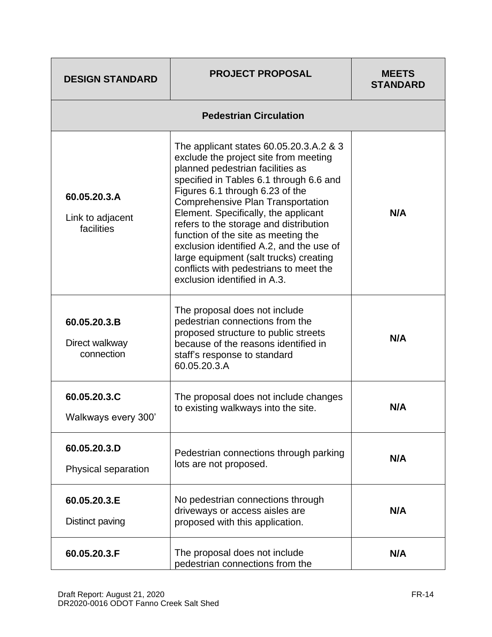| <b>DESIGN STANDARD</b>                         | <b>PROJECT PROPOSAL</b>                                                                                                                                                                                                                                                                                                                                                                                                                                                                                                                 | <b>MEETS</b><br><b>STANDARD</b> |  |
|------------------------------------------------|-----------------------------------------------------------------------------------------------------------------------------------------------------------------------------------------------------------------------------------------------------------------------------------------------------------------------------------------------------------------------------------------------------------------------------------------------------------------------------------------------------------------------------------------|---------------------------------|--|
| <b>Pedestrian Circulation</b>                  |                                                                                                                                                                                                                                                                                                                                                                                                                                                                                                                                         |                                 |  |
| 60.05.20.3.A<br>Link to adjacent<br>facilities | The applicant states 60.05.20.3.A.2 & 3<br>exclude the project site from meeting<br>planned pedestrian facilities as<br>specified in Tables 6.1 through 6.6 and<br>Figures 6.1 through 6.23 of the<br><b>Comprehensive Plan Transportation</b><br>Element. Specifically, the applicant<br>refers to the storage and distribution<br>function of the site as meeting the<br>exclusion identified A.2, and the use of<br>large equipment (salt trucks) creating<br>conflicts with pedestrians to meet the<br>exclusion identified in A.3. | N/A                             |  |
| 60.05.20.3.B<br>Direct walkway<br>connection   | The proposal does not include<br>pedestrian connections from the<br>proposed structure to public streets<br>because of the reasons identified in<br>staff's response to standard<br>60.05.20.3.A                                                                                                                                                                                                                                                                                                                                        | N/A                             |  |
| 60.05.20.3.C<br>Walkways every 300'            | The proposal does not include changes<br>to existing walkways into the site.                                                                                                                                                                                                                                                                                                                                                                                                                                                            | N/A                             |  |
| 60.05.20.3.D<br>Physical separation            | Pedestrian connections through parking<br>lots are not proposed.                                                                                                                                                                                                                                                                                                                                                                                                                                                                        | N/A                             |  |
| 60.05.20.3.E<br>Distinct paving                | No pedestrian connections through<br>driveways or access aisles are<br>proposed with this application.                                                                                                                                                                                                                                                                                                                                                                                                                                  | N/A                             |  |
| 60.05.20.3.F                                   | The proposal does not include<br>pedestrian connections from the                                                                                                                                                                                                                                                                                                                                                                                                                                                                        | N/A                             |  |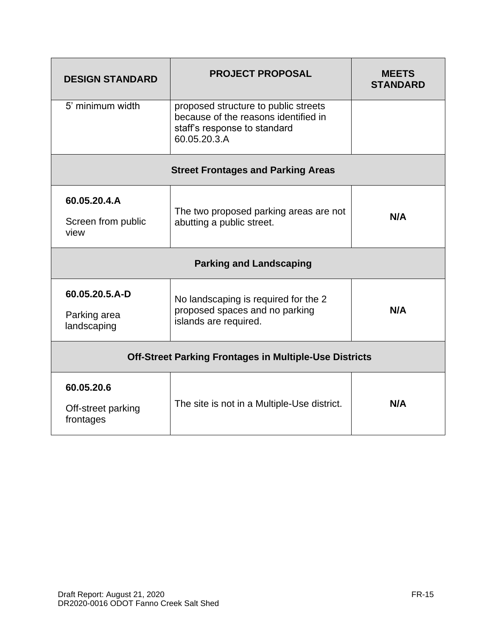| <b>DESIGN STANDARD</b>                                        | <b>PROJECT PROPOSAL</b>                                                                                                      | <b>MEETS</b><br><b>STANDARD</b> |  |
|---------------------------------------------------------------|------------------------------------------------------------------------------------------------------------------------------|---------------------------------|--|
| 5' minimum width                                              | proposed structure to public streets<br>because of the reasons identified in<br>staff's response to standard<br>60.05.20.3.A |                                 |  |
|                                                               | <b>Street Frontages and Parking Areas</b>                                                                                    |                                 |  |
| 60.05.20.4.A<br>Screen from public<br>view                    | The two proposed parking areas are not<br>abutting a public street.                                                          | N/A                             |  |
| <b>Parking and Landscaping</b>                                |                                                                                                                              |                                 |  |
| 60.05.20.5.A-D<br>Parking area<br>landscaping                 | No landscaping is required for the 2<br>proposed spaces and no parking<br>islands are required.                              | N/A                             |  |
| <b>Off-Street Parking Frontages in Multiple-Use Districts</b> |                                                                                                                              |                                 |  |
| 60.05.20.6<br>Off-street parking<br>frontages                 | The site is not in a Multiple-Use district.                                                                                  | N/A                             |  |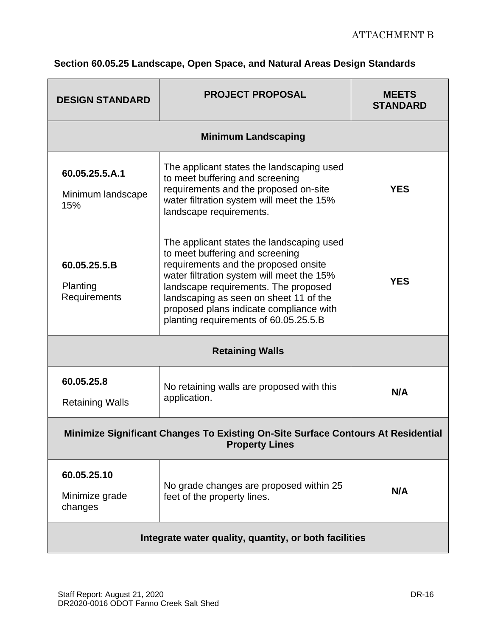| <b>DESIGN STANDARD</b>                                                                                    | <b>PROJECT PROPOSAL</b>                                                                                                                                                                                                                                                                                                                 | <b>MEETS</b><br><b>STANDARD</b> |  |  |
|-----------------------------------------------------------------------------------------------------------|-----------------------------------------------------------------------------------------------------------------------------------------------------------------------------------------------------------------------------------------------------------------------------------------------------------------------------------------|---------------------------------|--|--|
| <b>Minimum Landscaping</b>                                                                                |                                                                                                                                                                                                                                                                                                                                         |                                 |  |  |
| 60.05.25.5.A.1<br>Minimum landscape<br>15%                                                                | The applicant states the landscaping used<br>to meet buffering and screening<br>requirements and the proposed on-site<br>water filtration system will meet the 15%<br>landscape requirements.                                                                                                                                           | <b>YES</b>                      |  |  |
| 60.05.25.5.B<br>Planting<br>Requirements                                                                  | The applicant states the landscaping used<br>to meet buffering and screening<br>requirements and the proposed onsite<br>water filtration system will meet the 15%<br>landscape requirements. The proposed<br>landscaping as seen on sheet 11 of the<br>proposed plans indicate compliance with<br>planting requirements of 60.05.25.5.B | <b>YES</b>                      |  |  |
| <b>Retaining Walls</b>                                                                                    |                                                                                                                                                                                                                                                                                                                                         |                                 |  |  |
| 60.05.25.8<br><b>Retaining Walls</b>                                                                      | No retaining walls are proposed with this<br>application.                                                                                                                                                                                                                                                                               | N/A                             |  |  |
| Minimize Significant Changes To Existing On-Site Surface Contours At Residential<br><b>Property Lines</b> |                                                                                                                                                                                                                                                                                                                                         |                                 |  |  |
| 60.05.25.10<br>Minimize grade<br>changes                                                                  | No grade changes are proposed within 25<br>feet of the property lines.                                                                                                                                                                                                                                                                  | N/A                             |  |  |
| Integrate water quality, quantity, or both facilities                                                     |                                                                                                                                                                                                                                                                                                                                         |                                 |  |  |

# **Section 60.05.25 Landscape, Open Space, and Natural Areas Design Standards**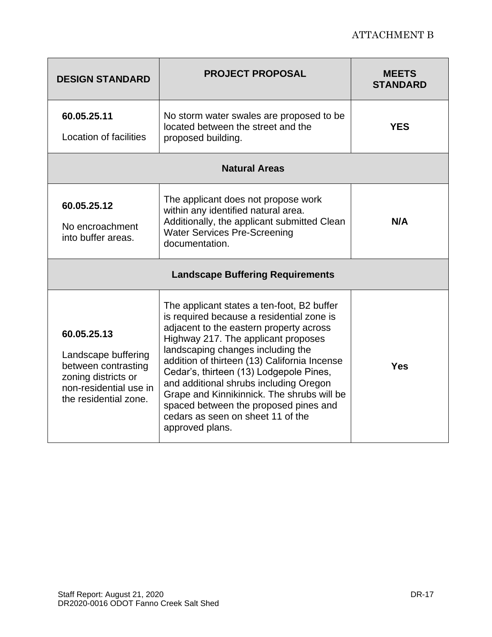# ATTACHMENT B

| <b>DESIGN STANDARD</b>                                                                                                              | <b>PROJECT PROPOSAL</b>                                                                                                                                                                                                                                                                                                                                                                                                                                                                            | <b>MEETS</b><br><b>STANDARD</b> |  |  |
|-------------------------------------------------------------------------------------------------------------------------------------|----------------------------------------------------------------------------------------------------------------------------------------------------------------------------------------------------------------------------------------------------------------------------------------------------------------------------------------------------------------------------------------------------------------------------------------------------------------------------------------------------|---------------------------------|--|--|
| 60.05.25.11<br>Location of facilities                                                                                               | No storm water swales are proposed to be.<br>located between the street and the<br>proposed building.                                                                                                                                                                                                                                                                                                                                                                                              | <b>YES</b>                      |  |  |
| <b>Natural Areas</b>                                                                                                                |                                                                                                                                                                                                                                                                                                                                                                                                                                                                                                    |                                 |  |  |
| 60.05.25.12<br>No encroachment<br>into buffer areas.                                                                                | The applicant does not propose work<br>within any identified natural area.<br>Additionally, the applicant submitted Clean<br><b>Water Services Pre-Screening</b><br>documentation.                                                                                                                                                                                                                                                                                                                 | N/A                             |  |  |
| <b>Landscape Buffering Requirements</b>                                                                                             |                                                                                                                                                                                                                                                                                                                                                                                                                                                                                                    |                                 |  |  |
| 60.05.25.13<br>Landscape buffering<br>between contrasting<br>zoning districts or<br>non-residential use in<br>the residential zone. | The applicant states a ten-foot, B2 buffer<br>is required because a residential zone is<br>adjacent to the eastern property across<br>Highway 217. The applicant proposes<br>landscaping changes including the<br>addition of thirteen (13) California Incense<br>Cedar's, thirteen (13) Lodgepole Pines,<br>and additional shrubs including Oregon<br>Grape and Kinnikinnick. The shrubs will be<br>spaced between the proposed pines and<br>cedars as seen on sheet 11 of the<br>approved plans. | <b>Yes</b>                      |  |  |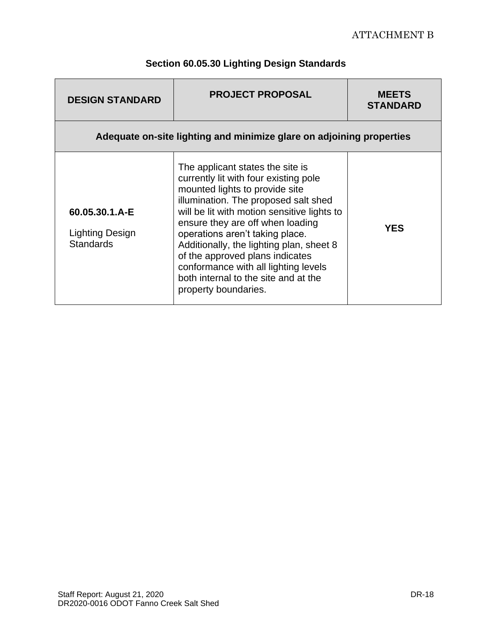| <b>DESIGN STANDARD</b>                                               | <b>PROJECT PROPOSAL</b>                                                                                                                                                                                                                                                                                                                                                                                                                                          | <b>MEETS</b><br><b>STANDARD</b> |  |
|----------------------------------------------------------------------|------------------------------------------------------------------------------------------------------------------------------------------------------------------------------------------------------------------------------------------------------------------------------------------------------------------------------------------------------------------------------------------------------------------------------------------------------------------|---------------------------------|--|
| Adequate on-site lighting and minimize glare on adjoining properties |                                                                                                                                                                                                                                                                                                                                                                                                                                                                  |                                 |  |
| 60.05.30.1.A-E<br>Lighting Design<br><b>Standards</b>                | The applicant states the site is<br>currently lit with four existing pole<br>mounted lights to provide site<br>illumination. The proposed salt shed<br>will be lit with motion sensitive lights to<br>ensure they are off when loading<br>operations aren't taking place.<br>Additionally, the lighting plan, sheet 8<br>of the approved plans indicates<br>conformance with all lighting levels<br>both internal to the site and at the<br>property boundaries. | <b>YES</b>                      |  |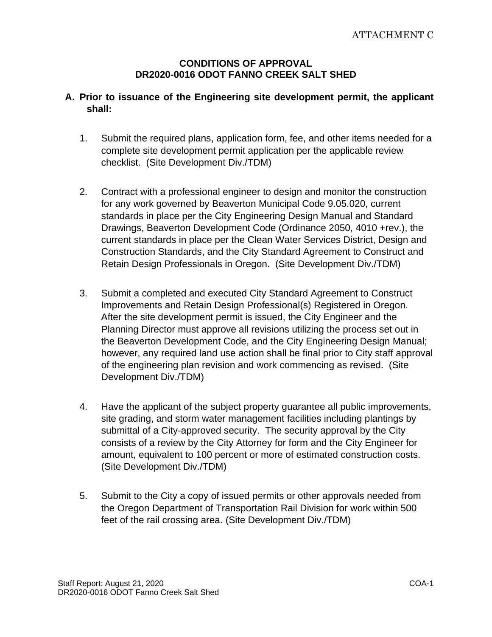### **CONDITIONS OF APPROVAL DR2020-0016 ODOT FANNO CREEK SALT SHED**

### **A. Prior to issuance of the Engineering site development permit, the applicant shall:**

- 1. Submit the required plans, application form, fee, and other items needed for a complete site development permit application per the applicable review checklist. (Site Development Div./TDM)
- 2. Contract with a professional engineer to design and monitor the construction for any work governed by Beaverton Municipal Code 9.05.020, current standards in place per the City Engineering Design Manual and Standard Drawings, Beaverton Development Code (Ordinance 2050, 4010 +rev.), the current standards in place per the Clean Water Services District, Design and Construction Standards, and the City Standard Agreement to Construct and Retain Design Professionals in Oregon. (Site Development Div./TDM)
- 3. Submit a completed and executed City Standard Agreement to Construct Improvements and Retain Design Professional(s) Registered in Oregon. After the site development permit is issued, the City Engineer and the Planning Director must approve all revisions utilizing the process set out in the Beaverton Development Code, and the City Engineering Design Manual; however, any required land use action shall be final prior to City staff approval of the engineering plan revision and work commencing as revised. (Site Development Div./TDM)
- 4. Have the applicant of the subject property guarantee all public improvements, site grading, and storm water management facilities including plantings by submittal of a City-approved security. The security approval by the City consists of a review by the City Attorney for form and the City Engineer for amount, equivalent to 100 percent or more of estimated construction costs. (Site Development Div./TDM)
- 5. Submit to the City a copy of issued permits or other approvals needed from the Oregon Department of Transportation Rail Division for work within 500 feet of the rail crossing area. (Site Development Div./TDM)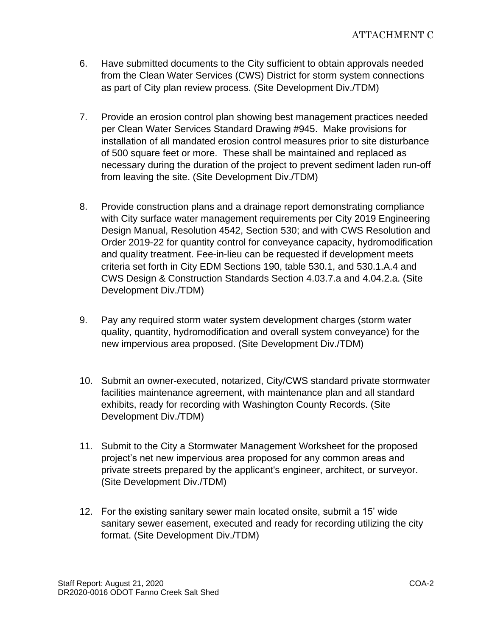- 6. Have submitted documents to the City sufficient to obtain approvals needed from the Clean Water Services (CWS) District for storm system connections as part of City plan review process. (Site Development Div./TDM)
- 7. Provide an erosion control plan showing best management practices needed per Clean Water Services Standard Drawing #945. Make provisions for installation of all mandated erosion control measures prior to site disturbance of 500 square feet or more. These shall be maintained and replaced as necessary during the duration of the project to prevent sediment laden run-off from leaving the site. (Site Development Div./TDM)
- 8. Provide construction plans and a drainage report demonstrating compliance with City surface water management requirements per City 2019 Engineering Design Manual, Resolution 4542, Section 530; and with CWS Resolution and Order 2019-22 for quantity control for conveyance capacity, hydromodification and quality treatment. Fee-in-lieu can be requested if development meets criteria set forth in City EDM Sections 190, table 530.1, and 530.1.A.4 and CWS Design & Construction Standards Section 4.03.7.a and 4.04.2.a. (Site Development Div./TDM)
- 9. Pay any required storm water system development charges (storm water quality, quantity, hydromodification and overall system conveyance) for the new impervious area proposed. (Site Development Div./TDM)
- 10. Submit an owner-executed, notarized, City/CWS standard private stormwater facilities maintenance agreement, with maintenance plan and all standard exhibits, ready for recording with Washington County Records. (Site Development Div./TDM)
- 11. Submit to the City a Stormwater Management Worksheet for the proposed project's net new impervious area proposed for any common areas and private streets prepared by the applicant's engineer, architect, or surveyor. (Site Development Div./TDM)
- 12. For the existing sanitary sewer main located onsite, submit a 15' wide sanitary sewer easement, executed and ready for recording utilizing the city format. (Site Development Div./TDM)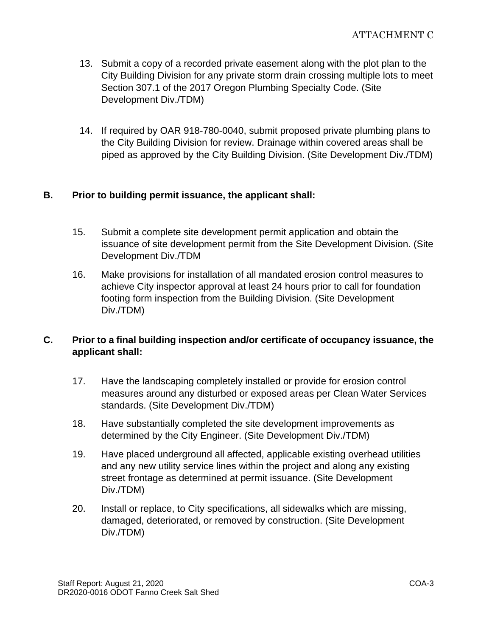- 13. Submit a copy of a recorded private easement along with the plot plan to the City Building Division for any private storm drain crossing multiple lots to meet Section 307.1 of the 2017 Oregon Plumbing Specialty Code. (Site Development Div./TDM)
- 14. If required by OAR 918-780-0040, submit proposed private plumbing plans to the City Building Division for review. Drainage within covered areas shall be piped as approved by the City Building Division. (Site Development Div./TDM)

### **B. Prior to building permit issuance, the applicant shall:**

- 15. Submit a complete site development permit application and obtain the issuance of site development permit from the Site Development Division. (Site Development Div./TDM
- 16. Make provisions for installation of all mandated erosion control measures to achieve City inspector approval at least 24 hours prior to call for foundation footing form inspection from the Building Division. (Site Development Div./TDM)

# **C. Prior to a final building inspection and/or certificate of occupancy issuance, the applicant shall:**

- 17. Have the landscaping completely installed or provide for erosion control measures around any disturbed or exposed areas per Clean Water Services standards. (Site Development Div./TDM)
- 18. Have substantially completed the site development improvements as determined by the City Engineer. (Site Development Div./TDM)
- 19. Have placed underground all affected, applicable existing overhead utilities and any new utility service lines within the project and along any existing street frontage as determined at permit issuance. (Site Development Div./TDM)
- 20. Install or replace, to City specifications, all sidewalks which are missing, damaged, deteriorated, or removed by construction. (Site Development Div./TDM)